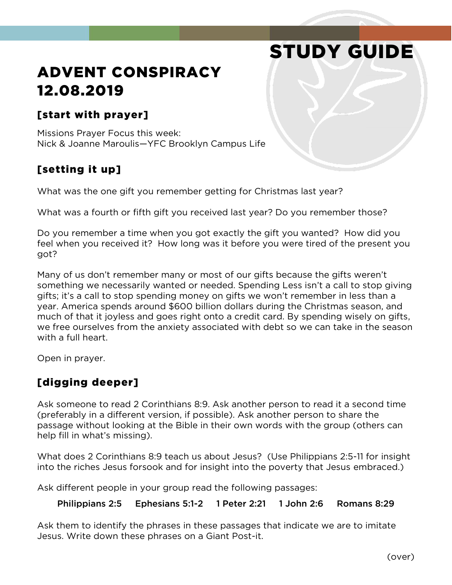# STUDY GUIDE

# ADVENT CONSPIRACY 12.08.2019

#### [start with prayer]

Missions Prayer Focus this week: Nick & Joanne Maroulis—YFC Brooklyn Campus Life

# [setting it up]

What was the one gift you remember getting for Christmas last year?

What was a fourth or fifth gift you received last year? Do you remember those?

Do you remember a time when you got exactly the gift you wanted? How did you feel when you received it? How long was it before you were tired of the present you got?

Many of us don't remember many or most of our gifts because the gifts weren't something we necessarily wanted or needed. Spending Less isn't a call to stop giving gifts; it's a call to stop spending money on gifts we won't remember in less than a year. America spends around \$600 billion dollars during the Christmas season, and much of that it joyless and goes right onto a credit card. By spending wisely on gifts, we free ourselves from the anxiety associated with debt so we can take in the season with a full heart.

Open in prayer.

## [digging deeper]

Ask someone to read 2 Corinthians 8:9. Ask another person to read it a second time (preferably in a different version, if possible). Ask another person to share the passage without looking at the Bible in their own words with the group (others can help fill in what's missing).

What does 2 Corinthians 8:9 teach us about Jesus? (Use Philippians 2:5-11 for insight into the riches Jesus forsook and for insight into the poverty that Jesus embraced.)

Ask different people in your group read the following passages:

Philippians 2:5 Ephesians 5:1-2 1 Peter 2:21 1 John 2:6 Romans 8:29

Ask them to identify the phrases in these passages that indicate we are to imitate Jesus. Write down these phrases on a Giant Post-it.